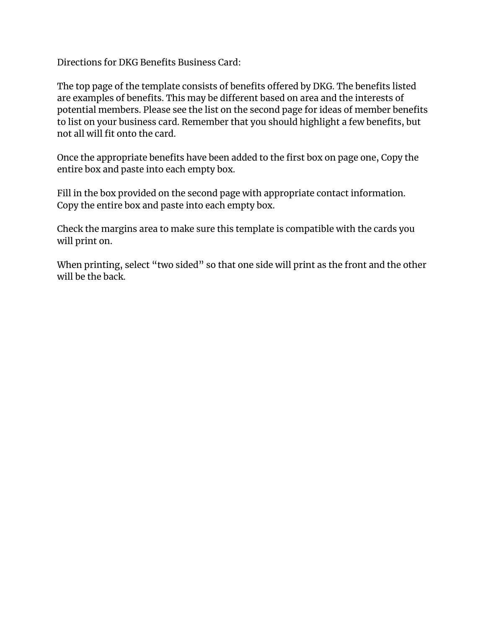Directions for DKG Benefits Business Card:

The top page of the template consists of benefits offered by DKG. The benefits listed are examples of benefits. This may be different based on area and the interests of potential members. Please see the list on the second page for ideas of member benefits to list on your business card. Remember that you should highlight a few benefits, but not all will fit onto the card.

Once the appropriate benefits have been added to the first box on page one, Copy the entire box and paste into each empty box.

Fill in the box provided on the second page with appropriate contact information. Copy the entire box and paste into each empty box.

Check the margins area to make sure this template is compatible with the cards you will print on.

When printing, select "two sided" so that one side will print as the front and the other will be the back.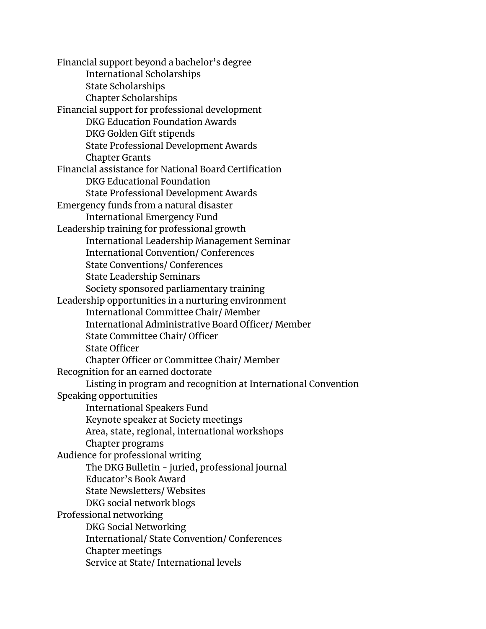Financial support beyond a bachelor's degree International Scholarships State Scholarships Chapter Scholarships Financial support for professional development DKG Education Foundation Awards DKG Golden Gift stipends State Professional Development Awards Chapter Grants Financial assistance for National Board Certification DKG Educational Foundation State Professional Development Awards Emergency funds from a natural disaster International Emergency Fund Leadership training for professional growth International Leadership Management Seminar International Convention/ Conferences State Conventions/ Conferences State Leadership Seminars Society sponsored parliamentary training Leadership opportunities in a nurturing environment International Committee Chair/ Member International Administrative Board Officer/ Member State Committee Chair/ Officer State Officer Chapter Officer or Committee Chair/ Member Recognition for an earned doctorate Listing in program and recognition at International Convention Speaking opportunities International Speakers Fund Keynote speaker at Society meetings Area, state, regional, international workshops Chapter programs Audience for professional writing The DKG Bulletin - juried, professional journal Educator's Book Award State Newsletters/ Websites DKG social network blogs Professional networking DKG Social Networking International/ State Convention/ Conferences Chapter meetings Service at State/ International levels